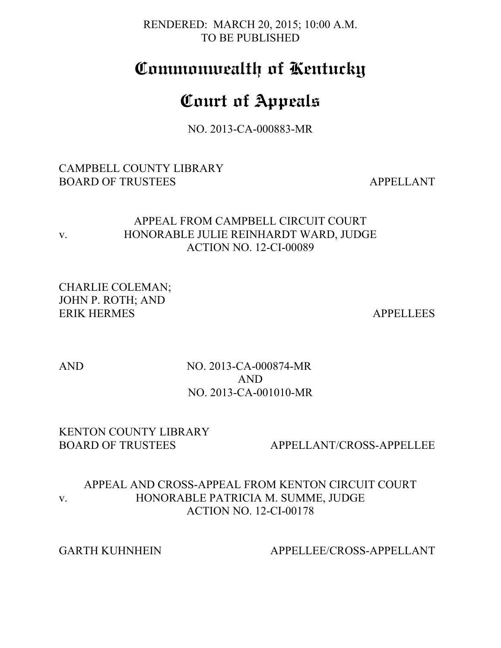RENDERED: MARCH 20, 2015; 10:00 A.M. TO BE PUBLISHED

# **Commonwealth of Kentucky**

# **Court of Appeals**

NO. 2013-CA-000883-MR

# CAMPBELL COUNTY LIBRARY BOARD OF TRUSTEES APPELLANT

# APPEAL FROM CAMPBELL CIRCUIT COURT v. HONORABLE JULIE REINHARDT WARD, JUDGE ACTION NO. 12-CI-00089

CHARLIE COLEMAN; JOHN P. ROTH; AND ERIK HERMES APPELLEES

# AND NO. 2013-CA-000874-MR AND NO. 2013-CA-001010-MR

# KENTON COUNTY LIBRARY

BOARD OF TRUSTEES APPELLANT/CROSS-APPELLEE

# APPEAL AND CROSS-APPEAL FROM KENTON CIRCUIT COURT v. HONORABLE PATRICIA M. SUMME, JUDGE ACTION NO. 12-CI-00178

# GARTH KUHNHEIN APPELLEE/CROSS-APPELLANT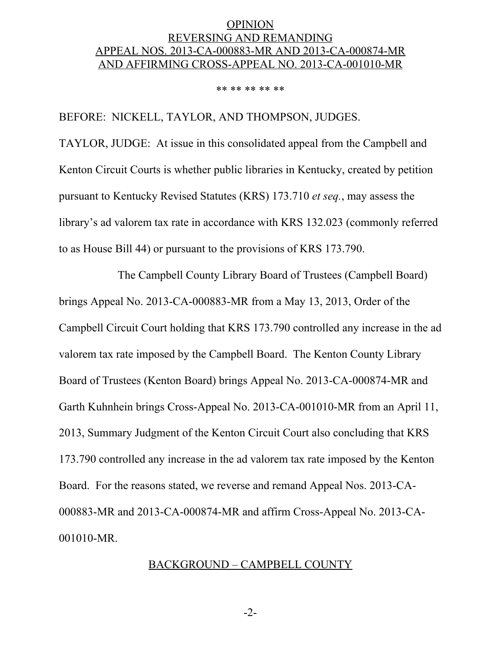# OPINION REVERSING AND REMANDING APPEAL NOS. 2013-CA-000883-MR AND 2013-CA-000874-MR AND AFFIRMING CROSS-APPEAL NO. 2013-CA-001010-MR

#### \*\* \*\* \*\* \*\* \*\*

BEFORE: NICKELL, TAYLOR, AND THOMPSON, JUDGES.

TAYLOR, JUDGE: At issue in this consolidated appeal from the Campbell and Kenton Circuit Courts is whether public libraries in Kentucky, created by petition pursuant to Kentucky Revised Statutes (KRS) 173.710 *et seq.*, may assess the library's ad valorem tax rate in accordance with KRS 132.023 (commonly referred to as House Bill 44) or pursuant to the provisions of KRS 173.790.

The Campbell County Library Board of Trustees (Campbell Board) brings Appeal No. 2013-CA-000883-MR from a May 13, 2013, Order of the Campbell Circuit Court holding that KRS 173.790 controlled any increase in the ad valorem tax rate imposed by the Campbell Board. The Kenton County Library Board of Trustees (Kenton Board) brings Appeal No. 2013-CA-000874-MR and Garth Kuhnhein brings Cross-Appeal No. 2013-CA-001010-MR from an April 11, 2013, Summary Judgment of the Kenton Circuit Court also concluding that KRS 173.790 controlled any increase in the ad valorem tax rate imposed by the Kenton Board. For the reasons stated, we reverse and remand Appeal Nos. 2013-CA-000883-MR and 2013-CA-000874-MR and affirm Cross-Appeal No. 2013-CA-001010-MR.

## BACKGROUND – CAMPBELL COUNTY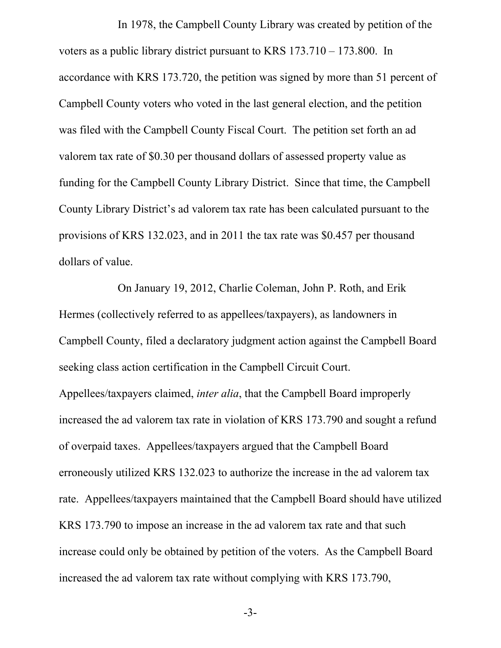In 1978, the Campbell County Library was created by petition of the voters as a public library district pursuant to KRS 173.710 – 173.800. In accordance with KRS 173.720, the petition was signed by more than 51 percent of Campbell County voters who voted in the last general election, and the petition was filed with the Campbell County Fiscal Court. The petition set forth an ad valorem tax rate of \$0.30 per thousand dollars of assessed property value as funding for the Campbell County Library District. Since that time, the Campbell County Library District's ad valorem tax rate has been calculated pursuant to the provisions of KRS 132.023, and in 2011 the tax rate was \$0.457 per thousand dollars of value.

On January 19, 2012, Charlie Coleman, John P. Roth, and Erik Hermes (collectively referred to as appellees/taxpayers), as landowners in Campbell County, filed a declaratory judgment action against the Campbell Board seeking class action certification in the Campbell Circuit Court. Appellees/taxpayers claimed, *inter alia*, that the Campbell Board improperly increased the ad valorem tax rate in violation of KRS 173.790 and sought a refund of overpaid taxes. Appellees/taxpayers argued that the Campbell Board erroneously utilized KRS 132.023 to authorize the increase in the ad valorem tax rate. Appellees/taxpayers maintained that the Campbell Board should have utilized KRS 173.790 to impose an increase in the ad valorem tax rate and that such increase could only be obtained by petition of the voters. As the Campbell Board increased the ad valorem tax rate without complying with KRS 173.790,

-3-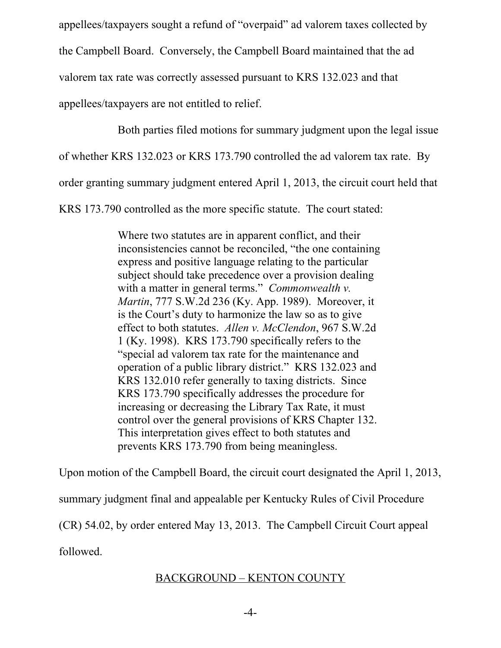appellees/taxpayers sought a refund of "overpaid" ad valorem taxes collected by the Campbell Board. Conversely, the Campbell Board maintained that the ad valorem tax rate was correctly assessed pursuant to KRS 132.023 and that appellees/taxpayers are not entitled to relief.

Both parties filed motions for summary judgment upon the legal issue

of whether KRS 132.023 or KRS 173.790 controlled the ad valorem tax rate. By

order granting summary judgment entered April 1, 2013, the circuit court held that

KRS 173.790 controlled as the more specific statute. The court stated:

Where two statutes are in apparent conflict, and their inconsistencies cannot be reconciled, "the one containing express and positive language relating to the particular subject should take precedence over a provision dealing with a matter in general terms." *Commonwealth v. Martin*, 777 S.W.2d 236 (Ky. App. 1989). Moreover, it is the Court's duty to harmonize the law so as to give effect to both statutes. *Allen v. McClendon*, 967 S.W.2d 1 (Ky. 1998). KRS 173.790 specifically refers to the "special ad valorem tax rate for the maintenance and operation of a public library district." KRS 132.023 and KRS 132.010 refer generally to taxing districts. Since KRS 173.790 specifically addresses the procedure for increasing or decreasing the Library Tax Rate, it must control over the general provisions of KRS Chapter 132. This interpretation gives effect to both statutes and prevents KRS 173.790 from being meaningless.

Upon motion of the Campbell Board, the circuit court designated the April 1, 2013,

summary judgment final and appealable per Kentucky Rules of Civil Procedure

(CR) 54.02, by order entered May 13, 2013. The Campbell Circuit Court appeal

followed.

# BACKGROUND – KENTON COUNTY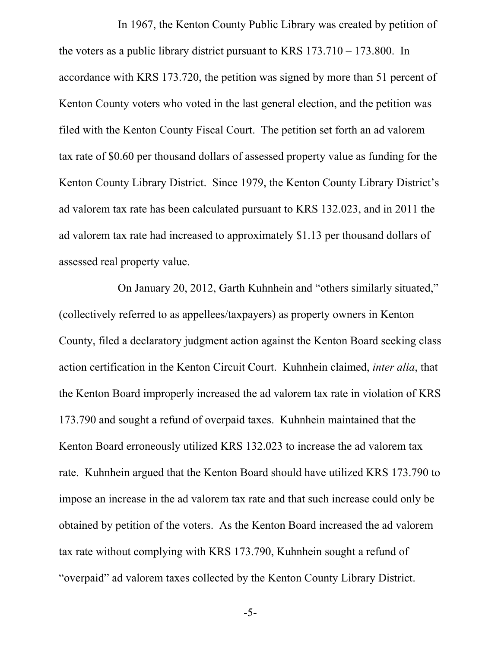In 1967, the Kenton County Public Library was created by petition of the voters as a public library district pursuant to KRS 173.710 – 173.800. In accordance with KRS 173.720, the petition was signed by more than 51 percent of Kenton County voters who voted in the last general election, and the petition was filed with the Kenton County Fiscal Court. The petition set forth an ad valorem tax rate of \$0.60 per thousand dollars of assessed property value as funding for the Kenton County Library District. Since 1979, the Kenton County Library District's ad valorem tax rate has been calculated pursuant to KRS 132.023, and in 2011 the ad valorem tax rate had increased to approximately \$1.13 per thousand dollars of assessed real property value.

On January 20, 2012, Garth Kuhnhein and "others similarly situated," (collectively referred to as appellees/taxpayers) as property owners in Kenton County, filed a declaratory judgment action against the Kenton Board seeking class action certification in the Kenton Circuit Court. Kuhnhein claimed, *inter alia*, that the Kenton Board improperly increased the ad valorem tax rate in violation of KRS 173.790 and sought a refund of overpaid taxes. Kuhnhein maintained that the Kenton Board erroneously utilized KRS 132.023 to increase the ad valorem tax rate. Kuhnhein argued that the Kenton Board should have utilized KRS 173.790 to impose an increase in the ad valorem tax rate and that such increase could only be obtained by petition of the voters. As the Kenton Board increased the ad valorem tax rate without complying with KRS 173.790, Kuhnhein sought a refund of "overpaid" ad valorem taxes collected by the Kenton County Library District.

-5-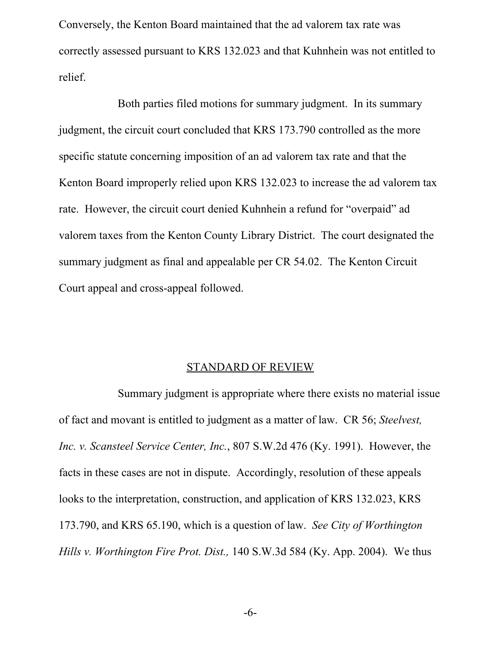Conversely, the Kenton Board maintained that the ad valorem tax rate was correctly assessed pursuant to KRS 132.023 and that Kuhnhein was not entitled to relief.

Both parties filed motions for summary judgment. In its summary judgment, the circuit court concluded that KRS 173.790 controlled as the more specific statute concerning imposition of an ad valorem tax rate and that the Kenton Board improperly relied upon KRS 132.023 to increase the ad valorem tax rate. However, the circuit court denied Kuhnhein a refund for "overpaid" ad valorem taxes from the Kenton County Library District. The court designated the summary judgment as final and appealable per CR 54.02. The Kenton Circuit Court appeal and cross-appeal followed.

### STANDARD OF REVIEW

Summary judgment is appropriate where there exists no material issue of fact and movant is entitled to judgment as a matter of law. CR 56; *Steelvest, Inc. v. Scansteel Service Center, Inc.*, 807 S.W.2d 476 (Ky. 1991). However, the facts in these cases are not in dispute. Accordingly, resolution of these appeals looks to the interpretation, construction, and application of KRS 132.023, KRS 173.790, and KRS 65.190, which is a question of law. *See City of Worthington Hills v. Worthington Fire Prot. Dist.,* 140 S.W.3d 584 (Ky. App. 2004). We thus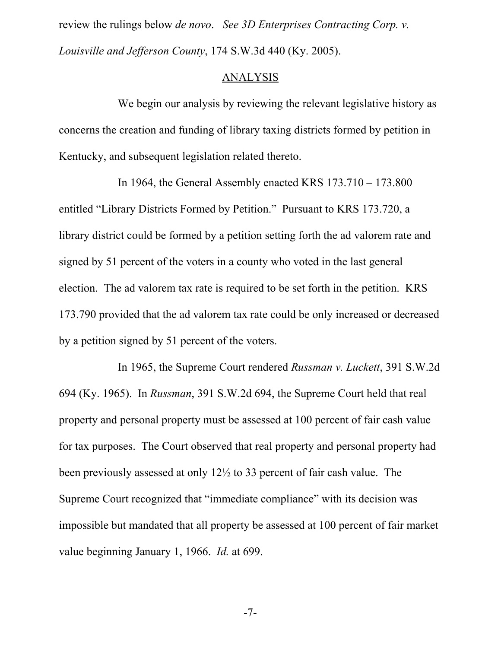review the rulings below *de novo*. *See [3D Enterprises Contracting Corp. v.](http://web2.westlaw.com/find/default.wl?rs=WLW15.01&db=BC-COMPANYSRBD&vr=2.0&docname=CIK(LE00190345)&stid={d6351998-82a0-403f-9e7f-0b1f15cc2300}&lvbp=T&rp=%2Ffind%2Fdefault.wl&sv=Split&fn=_top&findtype=l&mt=Kentucky&returnto=BusinessNameReturnTo) [Louisville and Jefferson County](http://web2.westlaw.com/find/default.wl?rs=WLW15.01&db=BC-COMPANYSRBD&vr=2.0&docname=CIK(LE00190345)&stid={d6351998-82a0-403f-9e7f-0b1f15cc2300}&lvbp=T&rp=%2Ffind%2Fdefault.wl&sv=Split&fn=_top&findtype=l&mt=Kentucky&returnto=BusinessNameReturnTo)*, 174 S.W.3d 440 (Ky. 2005).

### ANALYSIS

We begin our analysis by reviewing the relevant legislative history as concerns the creation and funding of library taxing districts formed by petition in Kentucky, and subsequent legislation related thereto.

In 1964, the General Assembly enacted KRS 173.710 – 173.800 entitled "Library Districts Formed by Petition." Pursuant to KRS 173.720, a library district could be formed by a petition setting forth the ad valorem rate and signed by 51 percent of the voters in a county who voted in the last general election. The ad valorem tax rate is required to be set forth in the petition. KRS 173.790 provided that the ad valorem tax rate could be only increased or decreased by a petition signed by 51 percent of the voters.

In 1965, the Supreme Court rendered *Russman v. Luckett*, 391 S.W.2d 694 (Ky. 1965). In *Russman*, 391 S.W.2d 694, the Supreme Court held that real property and personal property must be assessed at 100 percent of fair cash value for tax purposes. The Court observed that real property and personal property had been previously assessed at only 12½ to 33 percent of fair cash value. The Supreme Court recognized that "immediate compliance" with its decision was impossible but mandated that all property be assessed at 100 percent of fair market value beginning January 1, 1966. *Id.* at 699.

-7-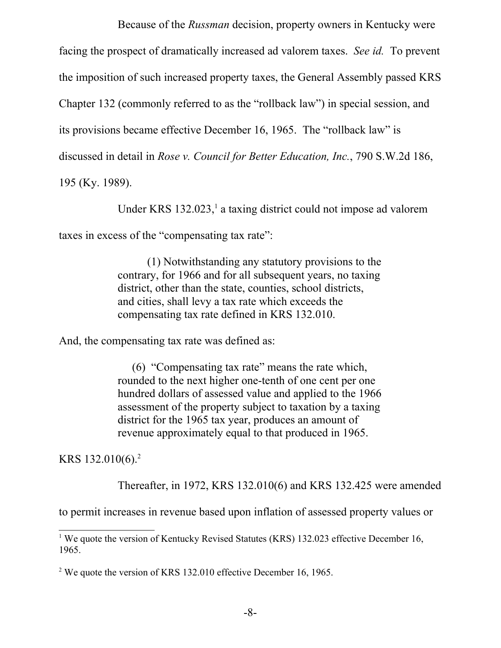Because of the *Russman* decision, property owners in Kentucky were facing the prospect of dramatically increased ad valorem taxes. *See id.* To prevent the imposition of such increased property taxes, the General Assembly passed KRS Chapter 132 (commonly referred to as the "rollback law") in special session, and its provisions became effective December 16, 1965. The "rollback law" is discussed in detail in *Rose v. Council for Better Education, Inc.*, 790 S.W.2d 186,

195 (Ky. 1989).

Under KRS  $132.023$  $132.023$ ,<sup>1</sup> a taxing district could not impose ad valorem

taxes in excess of the "compensating tax rate":

(1) Notwithstanding any statutory provisions to the contrary, for 1966 and for all subsequent years, no taxing district, other than the state, counties, school districts, and cities, shall levy a tax rate which exceeds the compensating tax rate defined in KRS 132.010.

And, the compensating tax rate was defined as:

 (6) "Compensating tax rate" means the rate which, rounded to the next higher one-tenth of one cent per one hundred dollars of assessed value and applied to the 1966 assessment of the property subject to taxation by a taxing district for the 1965 tax year, produces an amount of revenue approximately equal to that produced in 1965.

KRS 132.010(6). [2](#page-7-1)

Thereafter, in 1972, KRS 132.010(6) and KRS 132.425 were amended

to permit increases in revenue based upon inflation of assessed property values or

<span id="page-7-0"></span><sup>&</sup>lt;sup>1</sup> We quote the version of Kentucky Revised Statutes (KRS) 132.023 effective December 16, 1965.

<span id="page-7-1"></span><sup>&</sup>lt;sup>2</sup> We quote the version of KRS 132.010 effective December 16, 1965.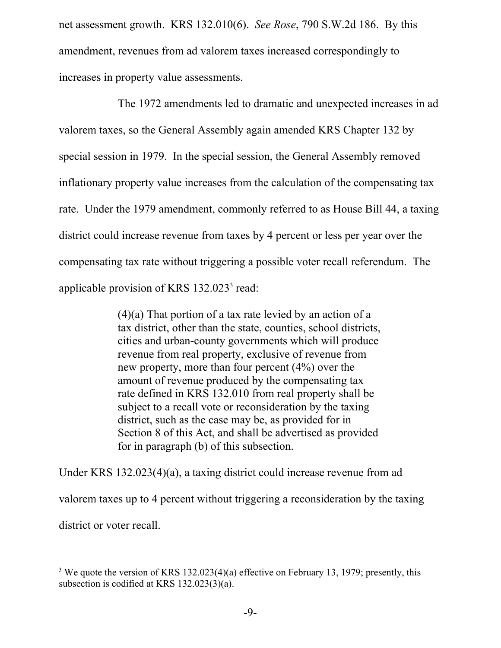net assessment growth. KRS 132.010(6). *See Rose*, 790 S.W.2d 186. By this amendment, revenues from ad valorem taxes increased correspondingly to increases in property value assessments.

The 1972 amendments led to dramatic and unexpected increases in ad valorem taxes, so the General Assembly again amended KRS Chapter 132 by special session in 1979. In the special session, the General Assembly removed inflationary property value increases from the calculation of the compensating tax rate. Under the 1979 amendment, commonly referred to as House Bill 44, a taxing district could increase revenue from taxes by 4 percent or less per year over the compensating tax rate without triggering a possible voter recall referendum. The applicable provision of KRS  $132.023<sup>3</sup>$  $132.023<sup>3</sup>$  $132.023<sup>3</sup>$  read:

> $(4)(a)$  That portion of a tax rate levied by an action of a tax district, other than the state, counties, school districts, cities and urban-county governments which will produce revenue from real property, exclusive of revenue from new property, more than four percent (4%) over the amount of revenue produced by the compensating tax rate defined in KRS 132.010 from real property shall be subject to a recall vote or reconsideration by the taxing district, such as the case may be, as provided for in Section 8 of this Act, and shall be advertised as provided for in paragraph (b) of this subsection.

Under KRS 132.023(4)(a), a taxing district could increase revenue from ad valorem taxes up to 4 percent without triggering a reconsideration by the taxing district or voter recall.

<span id="page-8-0"></span><sup>&</sup>lt;sup>3</sup> We quote the version of KRS 132.023(4)(a) effective on February 13, 1979; presently, this subsection is codified at KRS 132.023(3)(a).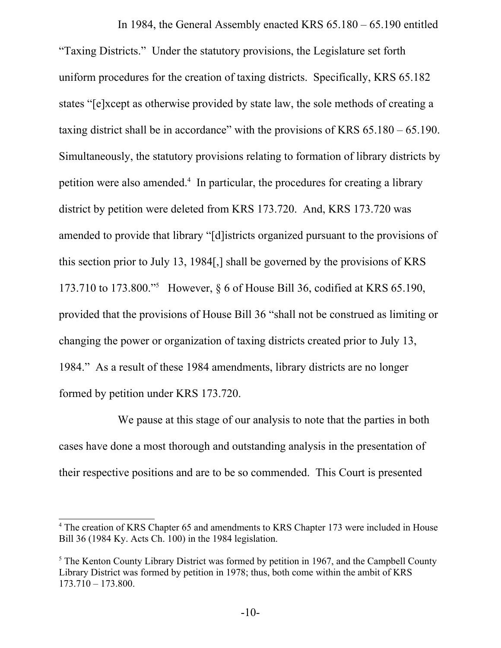In 1984, the General Assembly enacted KRS 65.180 – 65.190 entitled "Taxing Districts." Under the statutory provisions, the Legislature set forth uniform procedures for the creation of taxing districts. Specifically, KRS 65.182 states "[e]xcept as otherwise provided by state law, the sole methods of creating a taxing district shall be in accordance" with the provisions of KRS 65.180 – 65.190. Simultaneously, the statutory provisions relating to formation of library districts by petition were also amended.<sup>[4](#page-9-0)</sup> In particular, the procedures for creating a library district by petition were deleted from KRS 173.720. And, KRS 173.720 was amended to provide that library "[d]istricts organized pursuant to the provisions of this section prior to July 13, 1984[,] shall be governed by the provisions of KRS 173.710 to 173.800."[5](#page-9-1) However, § 6 of House Bill 36, codified at KRS 65.190, provided that the provisions of House Bill 36 "shall not be construed as limiting or changing the power or organization of taxing districts created prior to July 13, 1984." As a result of these 1984 amendments, library districts are no longer formed by petition under KRS 173.720.

We pause at this stage of our analysis to note that the parties in both cases have done a most thorough and outstanding analysis in the presentation of their respective positions and are to be so commended. This Court is presented

<span id="page-9-0"></span><sup>&</sup>lt;sup>4</sup> The creation of KRS Chapter 65 and amendments to KRS Chapter 173 were included in House Bill 36 (1984 Ky. Acts Ch. 100) in the 1984 legislation.

<span id="page-9-1"></span> $<sup>5</sup>$  The Kenton County Library District was formed by petition in 1967, and the Campbell County</sup> Library District was formed by petition in 1978; thus, both come within the ambit of KRS 173.710 – 173.800.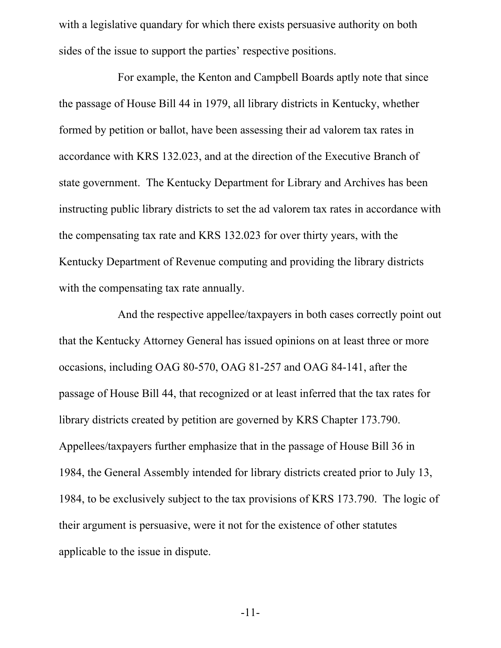with a legislative quandary for which there exists persuasive authority on both sides of the issue to support the parties' respective positions.

For example, the Kenton and Campbell Boards aptly note that since the passage of House Bill 44 in 1979, all library districts in Kentucky, whether formed by petition or ballot, have been assessing their ad valorem tax rates in accordance with KRS 132.023, and at the direction of the Executive Branch of state government. The Kentucky Department for Library and Archives has been instructing public library districts to set the ad valorem tax rates in accordance with the compensating tax rate and KRS 132.023 for over thirty years, with the Kentucky Department of Revenue computing and providing the library districts with the compensating tax rate annually.

And the respective appellee/taxpayers in both cases correctly point out that the Kentucky Attorney General has issued opinions on at least three or more occasions, including OAG 80-570, OAG 81-257 and OAG 84-141, after the passage of House Bill 44, that recognized or at least inferred that the tax rates for library districts created by petition are governed by KRS Chapter 173.790. Appellees/taxpayers further emphasize that in the passage of House Bill 36 in 1984, the General Assembly intended for library districts created prior to July 13, 1984, to be exclusively subject to the tax provisions of KRS 173.790. The logic of their argument is persuasive, were it not for the existence of other statutes applicable to the issue in dispute.

-11-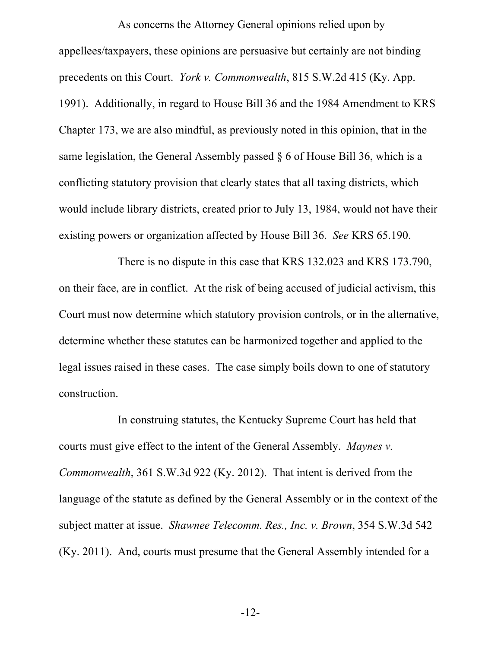As concerns the Attorney General opinions relied upon by appellees/taxpayers, these opinions are persuasive but certainly are not binding precedents on this Court. *York v. Commonwealth*, 815 S.W.2d 415 (Ky. App. 1991). Additionally, in regard to House Bill 36 and the 1984 Amendment to KRS Chapter 173, we are also mindful, as previously noted in this opinion, that in the same legislation, the General Assembly passed § 6 of House Bill 36, which is a conflicting statutory provision that clearly states that all taxing districts, which would include library districts, created prior to July 13, 1984, would not have their existing powers or organization affected by House Bill 36. *See* KRS 65.190.

There is no dispute in this case that KRS 132.023 and KRS 173.790, on their face, are in conflict. At the risk of being accused of judicial activism, this Court must now determine which statutory provision controls, or in the alternative, determine whether these statutes can be harmonized together and applied to the legal issues raised in these cases. The case simply boils down to one of statutory construction.

In construing statutes, the Kentucky Supreme Court has held that courts must give effect to the intent of the General Assembly. *Maynes v. Commonwealth*, 361 S.W.3d 922 (Ky. 2012). That intent is derived from the language of the statute as defined by the General Assembly or in the context of the subject matter at issue. *Shawnee Telecomm. Res., Inc. v. Brown*, 354 S.W.3d 542 (Ky. 2011). And, courts must presume that the General Assembly intended for a

-12-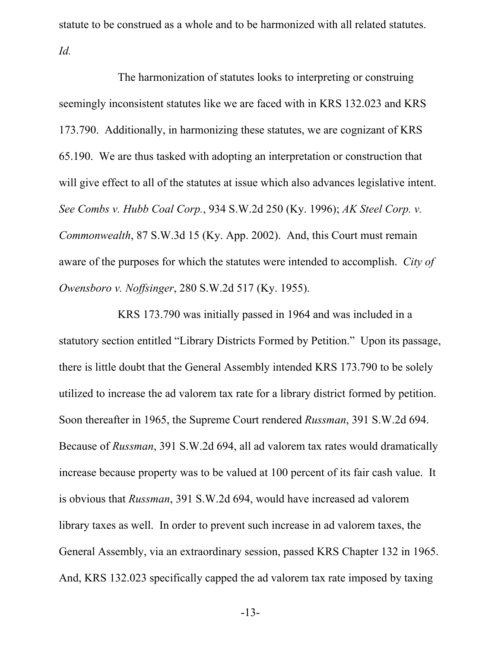statute to be construed as a whole and to be harmonized with all related statutes. *Id.*

The harmonization of statutes looks to interpreting or construing seemingly inconsistent statutes like we are faced with in KRS 132.023 and KRS 173.790. Additionally, in harmonizing these statutes, we are cognizant of KRS 65.190. We are thus tasked with adopting an interpretation or construction that will give effect to all of the statutes at issue which also advances legislative intent. *See Combs v. Hubb Coal Corp.*, 934 S.W.2d 250 (Ky. 1996); *AK Steel Corp. v. Commonwealth*, 87 S.W.3d 15 (Ky. App. 2002). And, this Court must remain aware of the purposes for which the statutes were intended to accomplish. *City of Owensboro v. Noffsinger*, 280 S.W.2d 517 (Ky. 1955).

KRS 173.790 was initially passed in 1964 and was included in a statutory section entitled "Library Districts Formed by Petition." Upon its passage, there is little doubt that the General Assembly intended KRS 173.790 to be solely utilized to increase the ad valorem tax rate for a library district formed by petition. Soon thereafter in 1965, the Supreme Court rendered *Russman*, 391 S.W.2d 694. Because of *Russman*, 391 S.W.2d 694, all ad valorem tax rates would dramatically increase because property was to be valued at 100 percent of its fair cash value. It is obvious that *Russman*, 391 S.W.2d 694, would have increased ad valorem library taxes as well. In order to prevent such increase in ad valorem taxes, the General Assembly, via an extraordinary session, passed KRS Chapter 132 in 1965. And, KRS 132.023 specifically capped the ad valorem tax rate imposed by taxing

-13-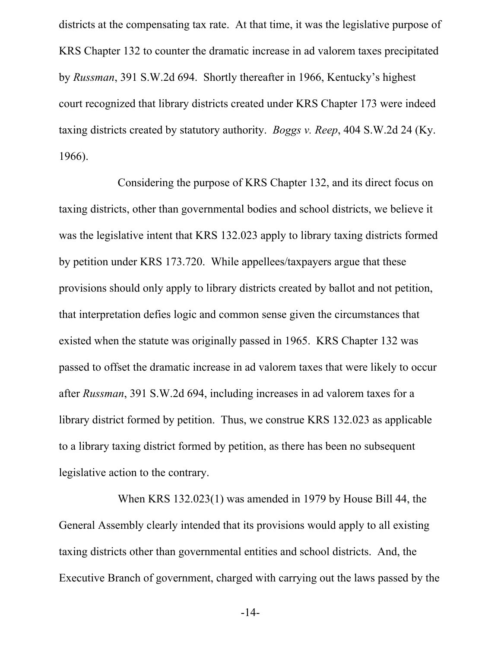districts at the compensating tax rate. At that time, it was the legislative purpose of KRS Chapter 132 to counter the dramatic increase in ad valorem taxes precipitated by *Russman*, 391 S.W.2d 694. Shortly thereafter in 1966, Kentucky's highest court recognized that library districts created under KRS Chapter 173 were indeed taxing districts created by statutory authority. *Boggs v. Reep*, 404 S.W.2d 24 (Ky. 1966).

Considering the purpose of KRS Chapter 132, and its direct focus on taxing districts, other than governmental bodies and school districts, we believe it was the legislative intent that KRS 132.023 apply to library taxing districts formed by petition under KRS 173.720. While appellees/taxpayers argue that these provisions should only apply to library districts created by ballot and not petition, that interpretation defies logic and common sense given the circumstances that existed when the statute was originally passed in 1965. KRS Chapter 132 was passed to offset the dramatic increase in ad valorem taxes that were likely to occur after *Russman*, 391 S.W.2d 694, including increases in ad valorem taxes for a library district formed by petition. Thus, we construe KRS 132.023 as applicable to a library taxing district formed by petition, as there has been no subsequent legislative action to the contrary.

When KRS 132.023(1) was amended in 1979 by House Bill 44, the General Assembly clearly intended that its provisions would apply to all existing taxing districts other than governmental entities and school districts. And, the Executive Branch of government, charged with carrying out the laws passed by the

-14-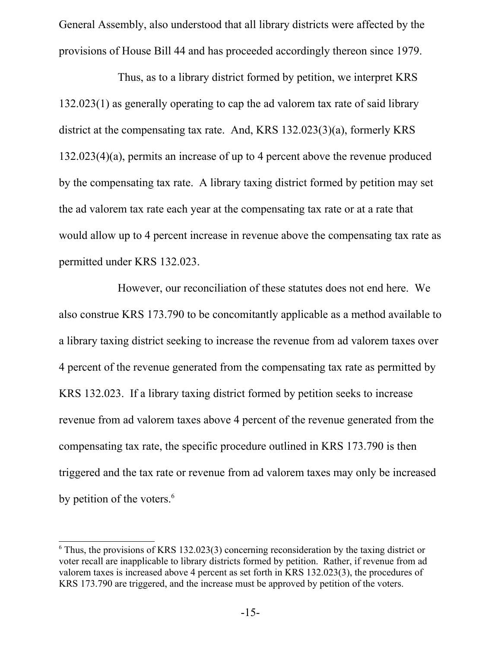General Assembly, also understood that all library districts were affected by the provisions of House Bill 44 and has proceeded accordingly thereon since 1979.

Thus, as to a library district formed by petition, we interpret KRS 132.023(1) as generally operating to cap the ad valorem tax rate of said library district at the compensating tax rate. And, KRS 132.023(3)(a), formerly KRS 132.023(4)(a), permits an increase of up to 4 percent above the revenue produced by the compensating tax rate. A library taxing district formed by petition may set the ad valorem tax rate each year at the compensating tax rate or at a rate that would allow up to 4 percent increase in revenue above the compensating tax rate as permitted under KRS 132.023.

However, our reconciliation of these statutes does not end here. We also construe KRS 173.790 to be concomitantly applicable as a method available to a library taxing district seeking to increase the revenue from ad valorem taxes over 4 percent of the revenue generated from the compensating tax rate as permitted by KRS 132.023. If a library taxing district formed by petition seeks to increase revenue from ad valorem taxes above 4 percent of the revenue generated from the compensating tax rate, the specific procedure outlined in KRS 173.790 is then triggered and the tax rate or revenue from ad valorem taxes may only be increased by petition of the voters.<sup>[6](#page-14-0)</sup>

<span id="page-14-0"></span><sup>&</sup>lt;sup>6</sup> Thus, the provisions of KRS 132.023(3) concerning reconsideration by the taxing district or voter recall are inapplicable to library districts formed by petition. Rather, if revenue from ad valorem taxes is increased above 4 percent as set forth in KRS 132.023(3), the procedures of KRS 173.790 are triggered, and the increase must be approved by petition of the voters.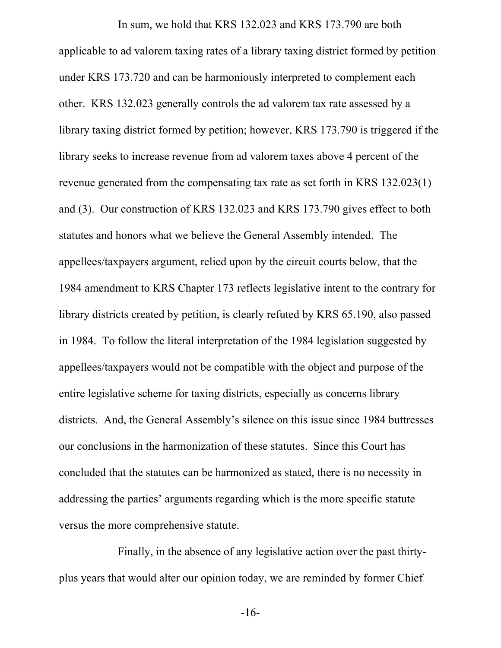In sum, we hold that KRS 132.023 and KRS 173.790 are both applicable to ad valorem taxing rates of a library taxing district formed by petition under KRS 173.720 and can be harmoniously interpreted to complement each other. KRS 132.023 generally controls the ad valorem tax rate assessed by a library taxing district formed by petition; however, KRS 173.790 is triggered if the library seeks to increase revenue from ad valorem taxes above 4 percent of the revenue generated from the compensating tax rate as set forth in KRS 132.023(1) and (3). Our construction of KRS 132.023 and KRS 173.790 gives effect to both statutes and honors what we believe the General Assembly intended. The appellees/taxpayers argument, relied upon by the circuit courts below, that the 1984 amendment to KRS Chapter 173 reflects legislative intent to the contrary for library districts created by petition, is clearly refuted by KRS 65.190, also passed in 1984. To follow the literal interpretation of the 1984 legislation suggested by appellees/taxpayers would not be compatible with the object and purpose of the entire legislative scheme for taxing districts, especially as concerns library districts. And, the General Assembly's silence on this issue since 1984 buttresses our conclusions in the harmonization of these statutes. Since this Court has concluded that the statutes can be harmonized as stated, there is no necessity in addressing the parties' arguments regarding which is the more specific statute versus the more comprehensive statute.

Finally, in the absence of any legislative action over the past thirtyplus years that would alter our opinion today, we are reminded by former Chief

-16-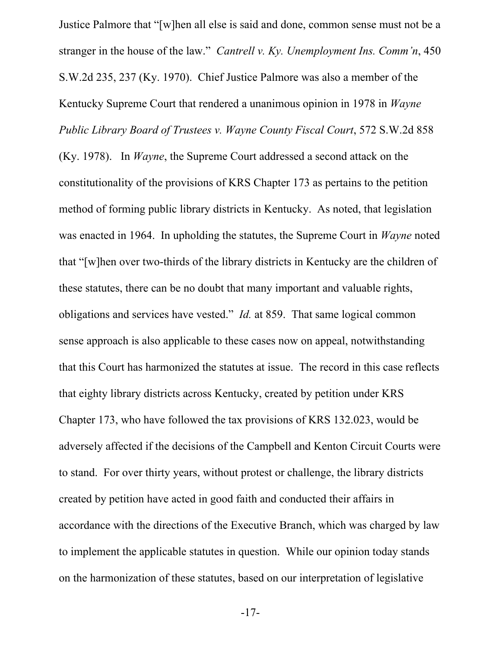Justice Palmore that "[w]hen all else is said and done, common sense must not be a stranger in the house of the law." *Cantrell v. Ky. Unemployment Ins. Comm'n*, 450 S.W.2d 235, 237 (Ky. 1970). Chief Justice Palmore was also a member of the Kentucky Supreme Court that rendered a unanimous opinion in 1978 in *Wayne Public Library Board of Trustees v. Wayne County Fiscal Court*, 572 S.W.2d 858 (Ky. 1978). In *Wayne*, the Supreme Court addressed a second attack on the constitutionality of the provisions of KRS Chapter 173 as pertains to the petition method of forming public library districts in Kentucky. As noted, that legislation was enacted in 1964. In upholding the statutes, the Supreme Court in *Wayne* noted that "[w]hen over two-thirds of the library districts in Kentucky are the children of these statutes, there can be no doubt that many important and valuable rights, obligations and services have vested." *Id.* at 859. That same logical common sense approach is also applicable to these cases now on appeal, notwithstanding that this Court has harmonized the statutes at issue. The record in this case reflects that eighty library districts across Kentucky, created by petition under KRS Chapter 173, who have followed the tax provisions of KRS 132.023, would be adversely affected if the decisions of the Campbell and Kenton Circuit Courts were to stand. For over thirty years, without protest or challenge, the library districts created by petition have acted in good faith and conducted their affairs in accordance with the directions of the Executive Branch, which was charged by law to implement the applicable statutes in question. While our opinion today stands on the harmonization of these statutes, based on our interpretation of legislative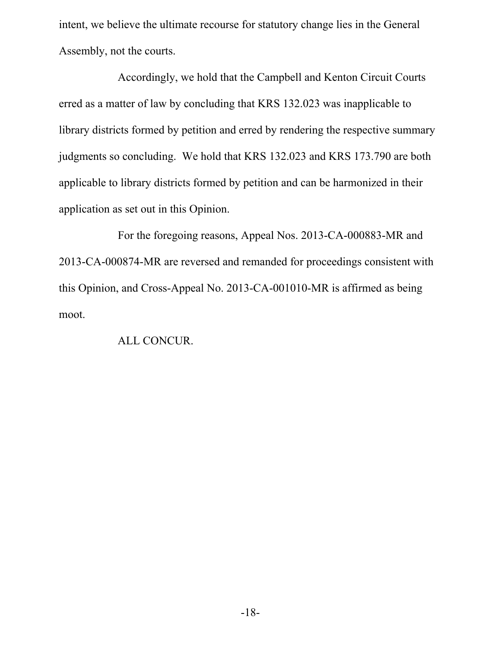intent, we believe the ultimate recourse for statutory change lies in the General Assembly, not the courts.

Accordingly, we hold that the Campbell and Kenton Circuit Courts erred as a matter of law by concluding that KRS 132.023 was inapplicable to library districts formed by petition and erred by rendering the respective summary judgments so concluding. We hold that KRS 132.023 and KRS 173.790 are both applicable to library districts formed by petition and can be harmonized in their application as set out in this Opinion.

For the foregoing reasons, Appeal Nos. 2013-CA-000883-MR and 2013-CA-000874-MR are reversed and remanded for proceedings consistent with this Opinion, and Cross-Appeal No. 2013-CA-001010-MR is affirmed as being moot.

# ALL CONCUR.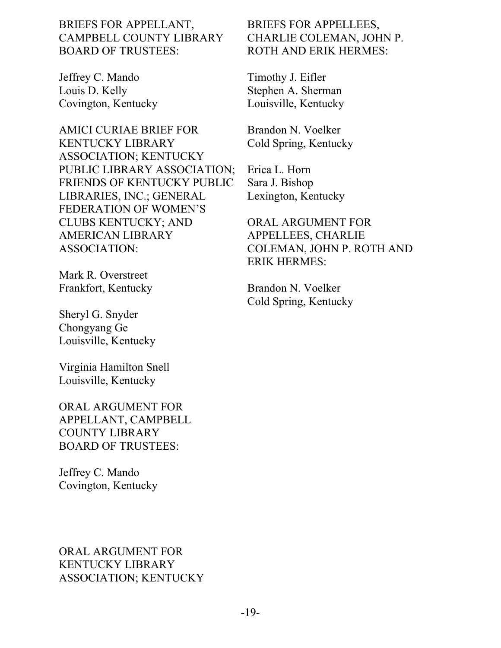# BRIEFS FOR APPELLANT, CAMPBELL COUNTY LIBRARY BOARD OF TRUSTEES:

Jeffrey C. Mando Louis D. Kelly Covington, Kentucky

AMICI CURIAE BRIEF FOR KENTUCKY LIBRARY ASSOCIATION; KENTUCKY PUBLIC LIBRARY ASSOCIATION; FRIENDS OF KENTUCKY PUBLIC LIBRARIES, INC.; GENERAL FEDERATION OF WOMEN'S CLUBS KENTUCKY; AND AMERICAN LIBRARY ASSOCIATION:

Mark R. Overstreet Frankfort, Kentucky

Sheryl G. Snyder Chongyang Ge Louisville, Kentucky

Virginia Hamilton Snell Louisville, Kentucky

ORAL ARGUMENT FOR APPELLANT, CAMPBELL COUNTY LIBRARY BOARD OF TRUSTEES:

Jeffrey C. Mando Covington, Kentucky

# ORAL ARGUMENT FOR KENTUCKY LIBRARY ASSOCIATION; KENTUCKY

# BRIEFS FOR APPELLEES, CHARLIE COLEMAN, JOHN P. ROTH AND ERIK HERMES:

Timothy J. Eifler Stephen A. Sherman Louisville, Kentucky

Brandon N. Voelker Cold Spring, Kentucky

Erica L. Horn Sara J. Bishop Lexington, Kentucky

ORAL ARGUMENT FOR APPELLEES, CHARLIE COLEMAN, JOHN P. ROTH AND ERIK HERMES:

Brandon N. Voelker Cold Spring, Kentucky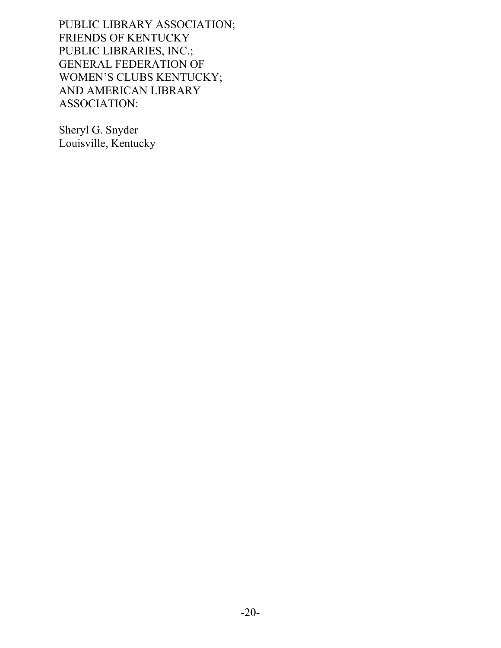PUBLIC LIBRARY ASSOCIATION; FRIENDS OF KENTUCKY PUBLIC LIBRARIES, INC.; GENERAL FEDERATION OF WOMEN'S CLUBS KENTUCKY; AND AMERICAN LIBRARY ASSOCIATION:

Sheryl G. Snyder Louisville, Kentucky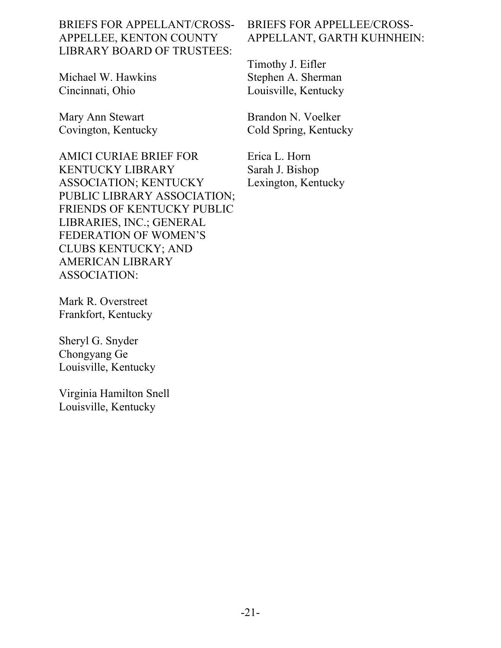# BRIEFS FOR APPELLANT/CROSS-APPELLEE, KENTON COUNTY LIBRARY BOARD OF TRUSTEES:

Michael W. Hawkins Cincinnati, Ohio

Mary Ann Stewart Covington, Kentucky

AMICI CURIAE BRIEF FOR KENTUCKY LIBRARY ASSOCIATION; KENTUCKY PUBLIC LIBRARY ASSOCIATION; FRIENDS OF KENTUCKY PUBLIC LIBRARIES, INC.; GENERAL FEDERATION OF WOMEN'S CLUBS KENTUCKY; AND AMERICAN LIBRARY ASSOCIATION:

Mark R. Overstreet Frankfort, Kentucky

Sheryl G. Snyder Chongyang Ge Louisville, Kentucky

Virginia Hamilton Snell Louisville, Kentucky

# BRIEFS FOR APPELLEE/CROSS-APPELLANT, GARTH KUHNHEIN:

Timothy J. Eifler Stephen A. Sherman Louisville, Kentucky

Brandon N. Voelker Cold Spring, Kentucky

Erica L. Horn Sarah J. Bishop Lexington, Kentucky